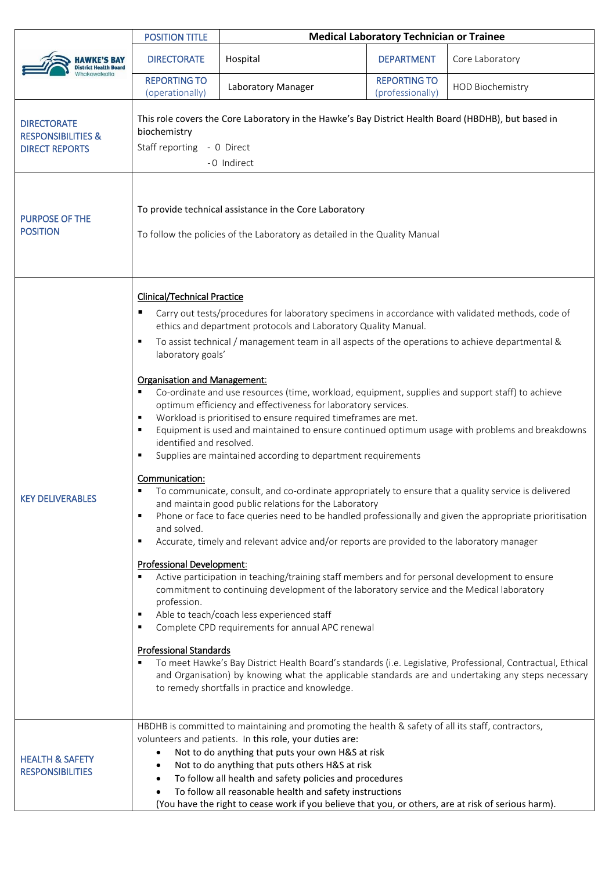|                                                                              | <b>POSITION TITLE</b>                                                                                                                                                                                                                                                                                                                                                                                                                                                                                                                                                                                                                                                                                                                                                                                                                                                                                                                                                                                                                                                                                                                                                                                                                                                                                                                                                                                                                                                                                                                                                                                                                                                                                                                                                                                                                                                                                                                      | <b>Medical Laboratory Technician or Trainee</b> |                                         |                         |  |
|------------------------------------------------------------------------------|--------------------------------------------------------------------------------------------------------------------------------------------------------------------------------------------------------------------------------------------------------------------------------------------------------------------------------------------------------------------------------------------------------------------------------------------------------------------------------------------------------------------------------------------------------------------------------------------------------------------------------------------------------------------------------------------------------------------------------------------------------------------------------------------------------------------------------------------------------------------------------------------------------------------------------------------------------------------------------------------------------------------------------------------------------------------------------------------------------------------------------------------------------------------------------------------------------------------------------------------------------------------------------------------------------------------------------------------------------------------------------------------------------------------------------------------------------------------------------------------------------------------------------------------------------------------------------------------------------------------------------------------------------------------------------------------------------------------------------------------------------------------------------------------------------------------------------------------------------------------------------------------------------------------------------------------|-------------------------------------------------|-----------------------------------------|-------------------------|--|
| <b>District Health Board</b>                                                 | <b>DIRECTORATE</b>                                                                                                                                                                                                                                                                                                                                                                                                                                                                                                                                                                                                                                                                                                                                                                                                                                                                                                                                                                                                                                                                                                                                                                                                                                                                                                                                                                                                                                                                                                                                                                                                                                                                                                                                                                                                                                                                                                                         | Hospital                                        | <b>DEPARTMENT</b>                       | Core Laboratory         |  |
|                                                                              | <b>REPORTING TO</b><br>(operationally)                                                                                                                                                                                                                                                                                                                                                                                                                                                                                                                                                                                                                                                                                                                                                                                                                                                                                                                                                                                                                                                                                                                                                                                                                                                                                                                                                                                                                                                                                                                                                                                                                                                                                                                                                                                                                                                                                                     | Laboratory Manager                              | <b>REPORTING TO</b><br>(professionally) | <b>HOD Biochemistry</b> |  |
| <b>DIRECTORATE</b><br><b>RESPONSIBILITIES &amp;</b><br><b>DIRECT REPORTS</b> | This role covers the Core Laboratory in the Hawke's Bay District Health Board (HBDHB), but based in<br>biochemistry<br>Staff reporting - 0 Direct<br>-0 Indirect                                                                                                                                                                                                                                                                                                                                                                                                                                                                                                                                                                                                                                                                                                                                                                                                                                                                                                                                                                                                                                                                                                                                                                                                                                                                                                                                                                                                                                                                                                                                                                                                                                                                                                                                                                           |                                                 |                                         |                         |  |
| <b>PURPOSE OF THE</b><br><b>POSITION</b>                                     | To provide technical assistance in the Core Laboratory<br>To follow the policies of the Laboratory as detailed in the Quality Manual                                                                                                                                                                                                                                                                                                                                                                                                                                                                                                                                                                                                                                                                                                                                                                                                                                                                                                                                                                                                                                                                                                                                                                                                                                                                                                                                                                                                                                                                                                                                                                                                                                                                                                                                                                                                       |                                                 |                                         |                         |  |
| <b>KEY DELIVERABLES</b>                                                      | <b>Clinical/Technical Practice</b><br>Carry out tests/procedures for laboratory specimens in accordance with validated methods, code of<br>ш<br>ethics and department protocols and Laboratory Quality Manual.<br>To assist technical / management team in all aspects of the operations to achieve departmental &<br>٠<br>laboratory goals'<br><b>Organisation and Management:</b><br>Co-ordinate and use resources (time, workload, equipment, supplies and support staff) to achieve<br>٠<br>optimum efficiency and effectiveness for laboratory services.<br>Workload is prioritised to ensure required timeframes are met.<br>٠<br>Equipment is used and maintained to ensure continued optimum usage with problems and breakdowns<br>٠<br>identified and resolved.<br>Supplies are maintained according to department requirements<br>٠<br>Communication:<br>To communicate, consult, and co-ordinate appropriately to ensure that a quality service is delivered<br>and maintain good public relations for the Laboratory<br>Phone or face to face queries need to be handled professionally and given the appropriate prioritisation<br>п<br>and solved.<br>Accurate, timely and relevant advice and/or reports are provided to the laboratory manager<br>٠<br><b>Professional Development:</b><br>Active participation in teaching/training staff members and for personal development to ensure<br>commitment to continuing development of the laboratory service and the Medical laboratory<br>profession.<br>Able to teach/coach less experienced staff<br>٠<br>Complete CPD requirements for annual APC renewal<br>п<br><b>Professional Standards</b><br>To meet Hawke's Bay District Health Board's standards (i.e. Legislative, Professional, Contractual, Ethical<br>and Organisation) by knowing what the applicable standards are and undertaking any steps necessary<br>to remedy shortfalls in practice and knowledge. |                                                 |                                         |                         |  |
| <b>HEALTH &amp; SAFETY</b><br><b>RESPONSIBILITIES</b>                        | HBDHB is committed to maintaining and promoting the health & safety of all its staff, contractors,<br>volunteers and patients. In this role, your duties are:<br>Not to do anything that puts your own H&S at risk<br>٠<br>Not to do anything that puts others H&S at risk<br>$\bullet$<br>To follow all health and safety policies and procedures<br>$\bullet$<br>To follow all reasonable health and safety instructions<br>(You have the right to cease work if you believe that you, or others, are at risk of serious harm).                                                                                                                                                                                                                                                                                                                                                                                                                                                                                                                                                                                                                                                                                                                                                                                                                                                                                                                                                                                                                                                                                                                                                                                                                                                                                                                                                                                                          |                                                 |                                         |                         |  |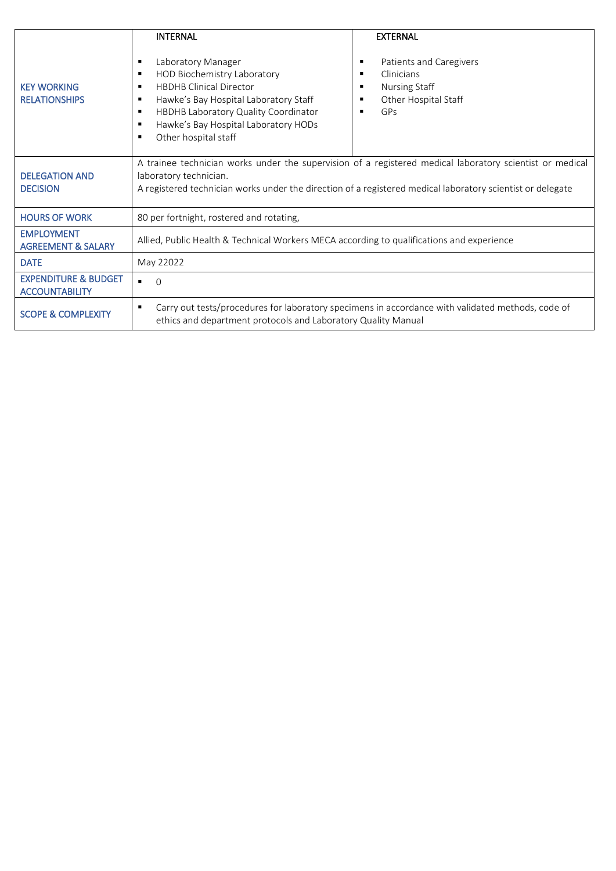|                                                          | <b>INTERNAL</b>                                                                                                                                                                                                                                                         | <b>EXTERNAL</b>                                                                                             |  |  |
|----------------------------------------------------------|-------------------------------------------------------------------------------------------------------------------------------------------------------------------------------------------------------------------------------------------------------------------------|-------------------------------------------------------------------------------------------------------------|--|--|
| <b>KEY WORKING</b><br><b>RELATIONSHIPS</b>               | Laboratory Manager<br>٠<br>HOD Biochemistry Laboratory<br>٠<br><b>HBDHB Clinical Director</b><br>٠<br>Hawke's Bay Hospital Laboratory Staff<br>٠<br>HBDHB Laboratory Quality Coordinator<br>٠<br>Hawke's Bay Hospital Laboratory HODs<br>٠<br>Other hospital staff<br>٠ | Patients and Caregivers<br>٠<br>Clinicians<br>п<br><b>Nursing Staff</b><br>Other Hospital Staff<br>GPs<br>п |  |  |
| <b>DELEGATION AND</b><br><b>DECISION</b>                 | A trainee technician works under the supervision of a registered medical laboratory scientist or medical<br>laboratory technician.<br>A registered technician works under the direction of a registered medical laboratory scientist or delegate                        |                                                                                                             |  |  |
| <b>HOURS OF WORK</b>                                     | 80 per fortnight, rostered and rotating,                                                                                                                                                                                                                                |                                                                                                             |  |  |
| <b>EMPLOYMENT</b><br><b>AGREEMENT &amp; SALARY</b>       | Allied, Public Health & Technical Workers MECA according to qualifications and experience                                                                                                                                                                               |                                                                                                             |  |  |
| <b>DATE</b>                                              | May 22022                                                                                                                                                                                                                                                               |                                                                                                             |  |  |
| <b>EXPENDITURE &amp; BUDGET</b><br><b>ACCOUNTABILITY</b> | $\blacksquare$<br>$\bigcirc$                                                                                                                                                                                                                                            |                                                                                                             |  |  |
| <b>SCOPE &amp; COMPLEXITY</b>                            | Carry out tests/procedures for laboratory specimens in accordance with validated methods, code of<br>ethics and department protocols and Laboratory Quality Manual                                                                                                      |                                                                                                             |  |  |